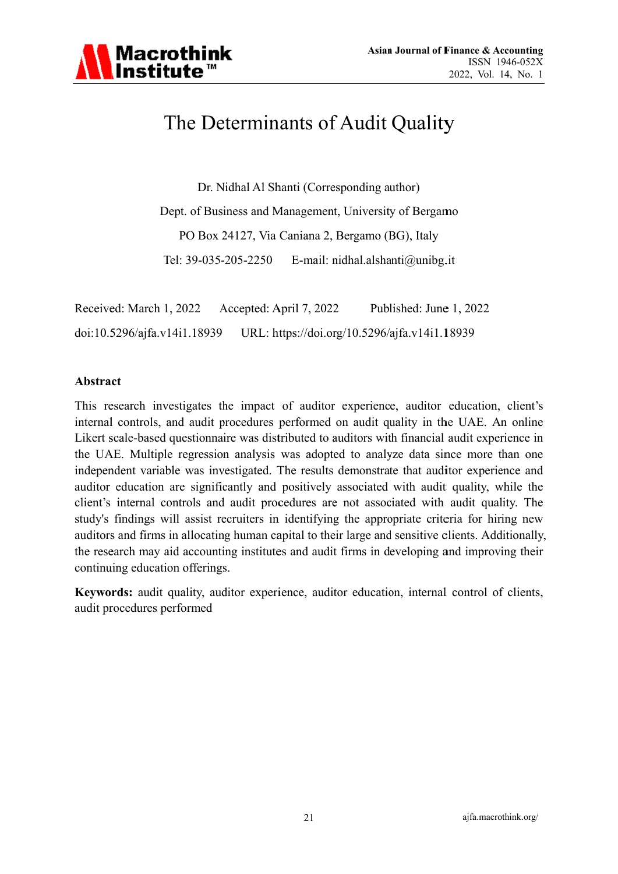

# The Determinants of Audit Quality

Dr. Nidhal Al Shanti (Corresponding author)

Dept. of Business and Management, University of Bergamo PO Box 24127, Via Caniana 2, Bergamo (BG), Italy Tel: 39-035-205-2250 E-mail: nidhal.alshanti@unibg.it

Received: March 1, 2022 Accepted: April 7, 2022 Published: June 1, 2022 URL: https://doi.org/10.5296/ajfa.v14i1.18939 doi:10.5296/ajfa.v14i1.18939

#### Abstract

This research investigates the impact of auditor experience, auditor education, client's internal controls, and audit procedures performed on audit quality in the UAE. An online Likert scale-based questionnaire was distributed to auditors with financial audit experience in the UAE. Multiple regression analysis was adopted to analyze data since more than one independent variable was investigated. The results demonstrate that auditor experience and auditor education are significantly and positively associated with audit quality, while the client's internal controls and audit procedures are not associated with audit quality. The study's findings will assist recruiters in identifying the appropriate criteria for hiring new auditors and firms in allocating human capital to their large and sensitive clients. Additionally, the research may aid accounting institutes and audit firms in developing and improving their continuing education offerings.

Keywords: audit quality, auditor experience, auditor education, internal control of clients, audit procedures performed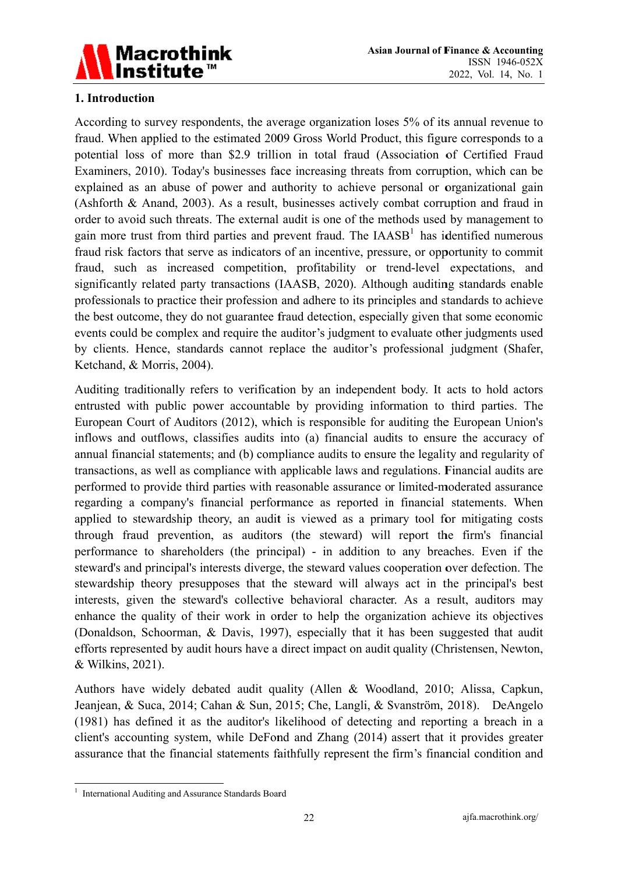

# 1. Introduction

According to survey respondents, the average organization loses 5% of its annual revenue to fraud. When applied to the estimated 2009 Gross World Product, this figure corresponds to a potential loss of more than \$2.9 trillion in total fraud (Association of Certified Fraud Examiners, 2010). Today's businesses face increasing threats from corruption, which can be explained as an abuse of power and authority to achieve personal or organizational gain (Ashforth & Anand, 2003). As a result, businesses actively combat corruption and fraud in order to avoid such threats. The external audit is one of the methods used by management to gain more trust from third parties and prevent fraud. The  $[AASB<sup>1</sup>]$  has identified numerous fraud risk factors that serve as indicators of an incentive, pressure, or opportunity to commit fraud, such as increased competition, profitability or trend-level expectations, and significantly related party transactions (IAASB, 2020). Although auditing standards enable professionals to practice their profession and adhere to its principles and standards to achieve the best outcome, they do not guarantee fraud detection, especially given that some economic events could be complex and require the auditor's judgment to evaluate other judgments used by clients. Hence, standards cannot replace the auditor's professional judgment (Shafer, Ketchand, & Morris, 2004).

Auditing traditionally refers to verification by an independent body. It acts to hold actors entrusted with public power accountable by providing information to third parties. The European Court of Auditors (2012), which is responsible for auditing the European Union's inflows and outflows, classifies audits into (a) financial audits to ensure the accuracy of annual financial statements; and (b) compliance audits to ensure the legality and regularity of transactions, as well as compliance with applicable laws and regulations. Financial audits are performed to provide third parties with reasonable assurance or limited-moderated assurance regarding a company's financial performance as reported in financial statements. When applied to stewardship theory, an audit is viewed as a primary tool for mitigating costs through fraud prevention, as auditors (the steward) will report the firm's financial performance to shareholders (the principal) - in addition to any breaches. Even if the steward's and principal's interests diverge, the steward values cooperation over defection. The stewardship theory presupposes that the steward will always act in the principal's best interests, given the steward's collective behavioral character. As a result, auditors may enhance the quality of their work in order to help the organization achieve its objectives (Donaldson, Schoorman, & Davis, 1997), especially that it has been suggested that audit efforts represented by audit hours have a direct impact on audit quality (Christensen, Newton, & Wilkins, 2021).

Authors have widely debated audit quality (Allen & Woodland, 2010; Alissa, Capkun, Jeanjean, & Suca, 2014; Cahan & Sun, 2015; Che, Langli, & Svanström, 2018). DeAngelo (1981) has defined it as the auditor's likelihood of detecting and reporting a breach in a client's accounting system, while DeFond and Zhang (2014) assert that it provides greater assurance that the financial statements faithfully represent the firm's financial condition and

<sup>&</sup>lt;sup>1</sup> International Auditing and Assurance Standards Board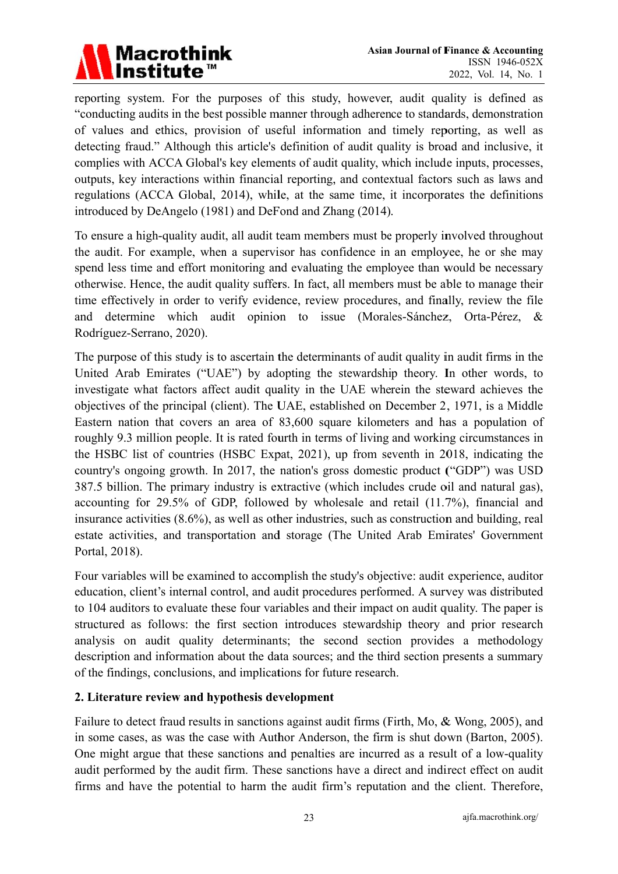

reporting system. For the purposes of this study, however, audit quality is defined as "conducting audits in the best possible manner through adherence to standards, demonstration of values and ethics, provision of useful information and timely reporting, as well as detecting fraud." Although this article's definition of audit quality is broad and inclusive, it complies with ACCA Global's key elements of audit quality, which include inputs, processes, outputs, key interactions within financial reporting, and contextual factors such as laws and regulations (ACCA Global, 2014), while, at the same time, it incorporates the definitions introduced by DeAngelo (1981) and DeFond and Zhang (2014).

To ensure a high-quality audit, all audit team members must be properly involved throughout the audit. For example, when a supervisor has confidence in an employee, he or she may spend less time and effort monitoring and evaluating the employee than would be necessary otherwise. Hence, the audit quality suffers. In fact, all members must be able to manage their time effectively in order to verify evidence, review procedures, and finally, review the file and determine which audit opinion to issue (Morales-Sánchez, Orta-Pérez, Rodríguez-Serrano, 2020).

The purpose of this study is to ascertain the determinants of audit quality in audit firms in the United Arab Emirates ("UAE") by adopting the stewardship theory. In other words, to investigate what factors affect audit quality in the UAE wherein the steward achieves the objectives of the principal (client). The UAE, established on December 2, 1971, is a Middle Eastern nation that covers an area of 83,600 square kilometers and has a population of roughly 9.3 million people. It is rated fourth in terms of living and working circumstances in the HSBC list of countries (HSBC Expat, 2021), up from seventh in 2018, indicating the country's ongoing growth. In 2017, the nation's gross domestic product ("GDP") was USD 387.5 billion. The primary industry is extractive (which includes crude oil and natural gas), accounting for 29.5% of GDP, followed by wholesale and retail (11.7%), financial and insurance activities (8.6%), as well as other industries, such as construction and building, real estate activities, and transportation and storage (The United Arab Emirates' Government Portal, 2018).

Four variables will be examined to accomplish the study's objective: audit experience, auditor education, client's internal control, and audit procedures performed. A survey was distributed to 104 auditors to evaluate these four variables and their impact on audit quality. The paper is structured as follows: the first section introduces stewardship theory and prior research analysis on audit quality determinants; the second section provides a methodology description and information about the data sources; and the third section presents a summary of the findings, conclusions, and implications for future research.

# 2. Literature review and hypothesis development

Failure to detect fraud results in sanctions against audit firms (Firth, Mo, & Wong, 2005), and in some cases, as was the case with Author Anderson, the firm is shut down (Barton, 2005). One might argue that these sanctions and penalties are incurred as a result of a low-quality audit performed by the audit firm. These sanctions have a direct and indirect effect on audit firms and have the potential to harm the audit firm's reputation and the client. Therefore,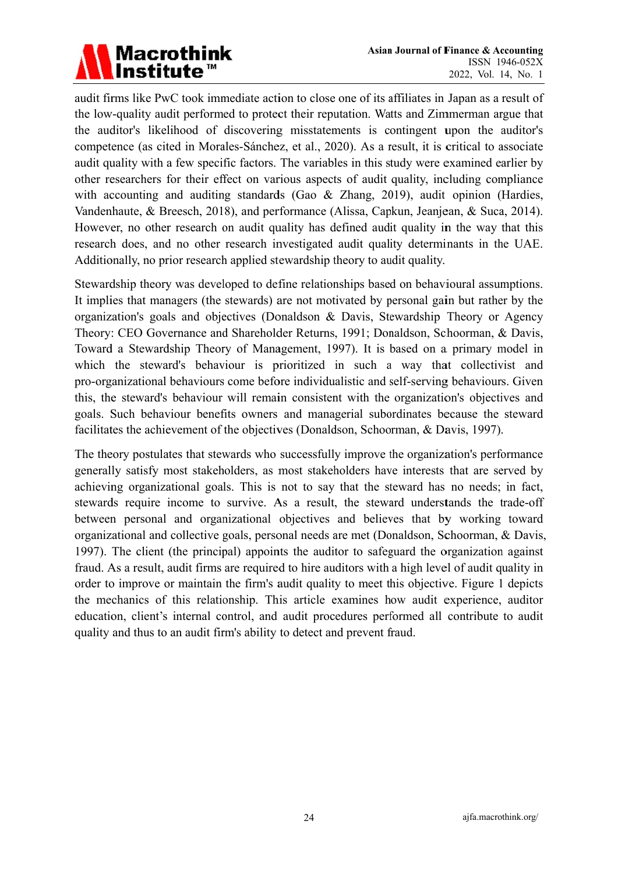# Macrothink<br>Institute™

audit firms like PwC took immediate action to close one of its affiliates in Japan as a result of the low-quality audit performed to protect their reputation. Watts and Zimmerman argue that the auditor's likelihood of discovering misstatements is contingent upon the auditor's competence (as cited in Morales-Sánchez, et al., 2020). As a result, it is critical to associate audit quality with a few specific factors. The variables in this study were examined earlier by other researchers for their effect on various aspects of audit quality, including compliance with accounting and auditing standards (Gao & Zhang, 2019), audit opinion (Hardies, Vandenhaute, & Breesch, 2018), and performance (Alissa, Capkun, Jeanjean, & Suca, 2014). However, no other research on audit quality has defined audit quality in the way that this research does, and no other research investigated audit quality determinants in the UAE. Additionally, no prior research applied stewardship theory to audit quality.

Stewardship theory was developed to define relationships based on behavioural assumptions. It implies that managers (the stewards) are not motivated by personal gain but rather by the organization's goals and objectives (Donaldson & Davis, Stewardship Theory or Agency Theory: CEO Governance and Shareholder Returns, 1991; Donaldson, Schoorman, & Davis, Toward a Stewardship Theory of Management, 1997). It is based on a primary model in which the steward's behaviour is prioritized in such a way that collectivist and pro-organizational behaviours come before individualistic and self-serving behaviours. Given this, the steward's behaviour will remain consistent with the organization's objectives and goals. Such behaviour benefits owners and managerial subordinates because the steward facilitates the achievement of the objectives (Donaldson, Schoorman, & Davis, 1997).

The theory postulates that stewards who successfully improve the organization's performance generally satisfy most stakeholders, as most stakeholders have interests that are served by achieving organizational goals. This is not to say that the steward has no needs; in fact, stewards require income to survive. As a result, the steward understands the trade-off between personal and organizational objectives and believes that by working toward organizational and collective goals, personal needs are met (Donaldson, Schoorman, & Davis, 1997). The client (the principal) appoints the auditor to safeguard the organization against fraud. As a result, audit firms are required to hire auditors with a high level of audit quality in order to improve or maintain the firm's audit quality to meet this objective. Figure 1 depicts the mechanics of this relationship. This article examines how audit experience, auditor education, client's internal control, and audit procedures performed all contribute to audit quality and thus to an audit firm's ability to detect and prevent fraud.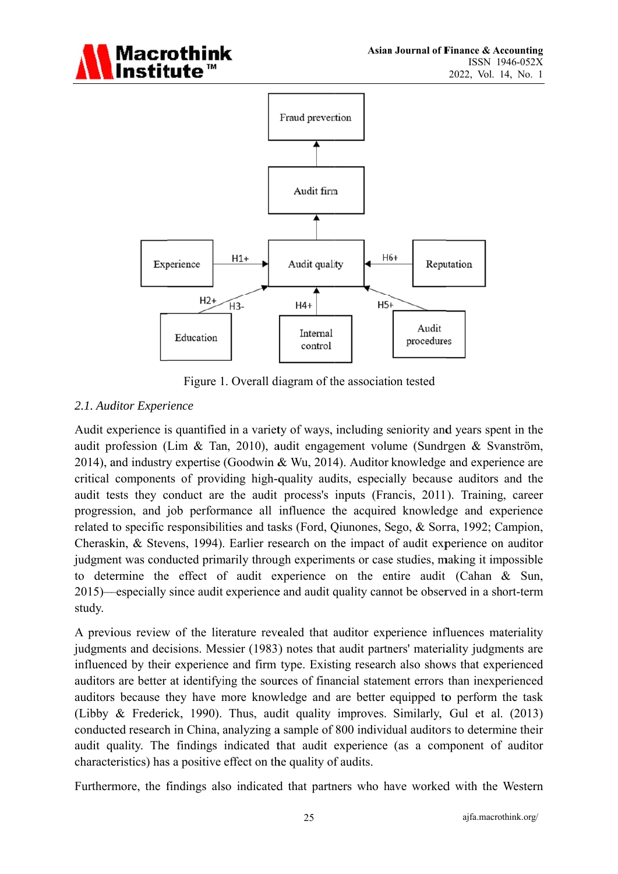



Figure 1. Overall diagram of the association tested

# 2.1. Auditor Experience

Audit experience is quantified in a variety of ways, including seniority and years spent in the audit profession (Lim & Tan, 2010), audit engagement volume (Sundrgen & Svanström, 2014), and industry expertise (Goodwin & Wu, 2014). Auditor knowledge and experience are critical components of providing high-quality audits, especially because auditors and the audit tests they conduct are the audit process's inputs (Francis, 2011). Training, career progression, and job performance all influence the acquired knowledge and experience related to specific responsibilities and tasks (Ford, Qiunones, Sego, & Sorra, 1992; Campion, Cheraskin, & Stevens, 1994). Earlier research on the impact of audit experience on auditor judgment was conducted primarily through experiments or case studies, making it impossible to determine the effect of audit experience on the entire audit (Cahan & Sun, 2015)—especially since audit experience and audit quality cannot be observed in a short-term study.

A previous review of the literature revealed that auditor experience influences materiality judgments and decisions. Messier (1983) notes that audit partners' materiality judgments are influenced by their experience and firm type. Existing research also shows that experienced auditors are better at identifying the sources of financial statement errors than inexperienced auditors because they have more knowledge and are better equipped to perform the task (Libby & Frederick, 1990). Thus, audit quality improves. Similarly, Gul et al. (2013) conducted research in China, analyzing a sample of 800 individual auditors to determine their audit quality. The findings indicated that audit experience (as a component of auditor characteristics) has a positive effect on the quality of audits.

Furthermore, the findings also indicated that partners who have worked with the Western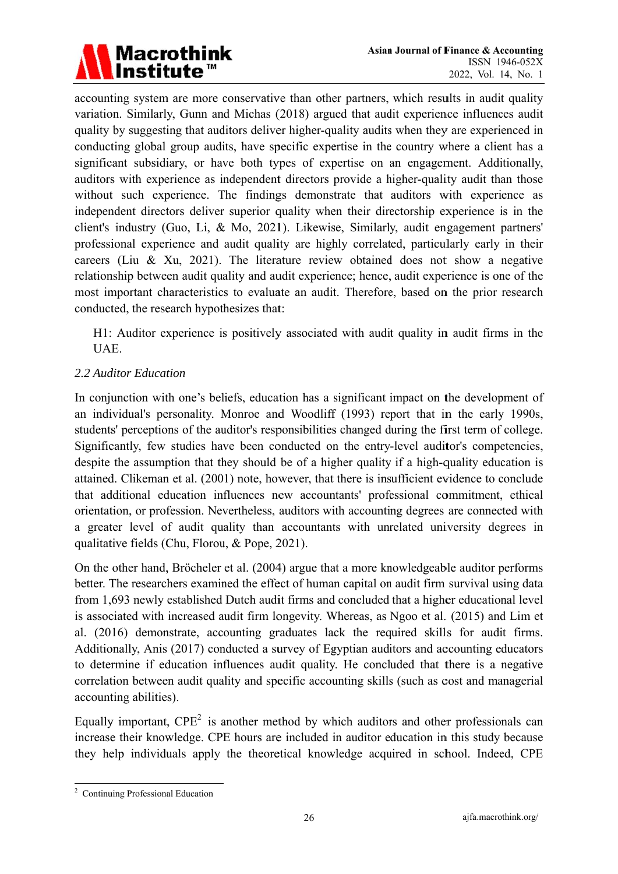

accounting system are more conservative than other partners, which results in audit quality variation. Similarly, Gunn and Michas (2018) argued that audit experience influences audit quality by suggesting that auditors deliver higher-quality audits when they are experienced in conducting global group audits, have specific expertise in the country where a client has a significant subsidiary, or have both types of expertise on an engagement. Additionally, auditors with experience as independent directors provide a higher-quality audit than those without such experience. The findings demonstrate that auditors with experience as independent directors deliver superior quality when their directorship experience is in the client's industry (Guo, Li, & Mo, 2021). Likewise, Similarly, audit engagement partners' professional experience and audit quality are highly correlated, particularly early in their careers (Liu & Xu, 2021). The literature review obtained does not show a negative relationship between audit quality and audit experience; hence, audit experience is one of the most important characteristics to evaluate an audit. Therefore, based on the prior research conducted, the research hypothesizes that:

H1: Auditor experience is positively associated with audit quality in audit firms in the UAE.

# 2.2 Auditor Education

In conjunction with one's beliefs, education has a significant impact on the development of an individual's personality. Monroe and Woodliff (1993) report that in the early 1990s, students' perceptions of the auditor's responsibilities changed during the first term of college. Significantly, few studies have been conducted on the entry-level auditor's competencies, despite the assumption that they should be of a higher quality if a high-quality education is attained. Clikeman et al. (2001) note, however, that there is insufficient evidence to conclude that additional education influences new accountants' professional commitment, ethical orientation, or profession. Nevertheless, auditors with accounting degrees are connected with a greater level of audit quality than accountants with unrelated university degrees in qualitative fields (Chu, Florou, & Pope, 2021).

On the other hand, Bröcheler et al. (2004) argue that a more knowledgeable auditor performs better. The researchers examined the effect of human capital on audit firm survival using data from 1,693 newly established Dutch audit firms and concluded that a higher educational level is associated with increased audit firm longevity. Whereas, as Ngoo et al. (2015) and Lim et al. (2016) demonstrate, accounting graduates lack the required skills for audit firms. Additionally, Anis (2017) conducted a survey of Egyptian auditors and accounting educators to determine if education influences audit quality. He concluded that there is a negative correlation between audit quality and specific accounting skills (such as cost and managerial accounting abilities).

Equally important,  $CPE<sup>2</sup>$  is another method by which auditors and other professionals can increase their knowledge. CPE hours are included in auditor education in this study because they help individuals apply the theoretical knowledge acquired in school. Indeed, CPE

<sup>&</sup>lt;sup>2</sup> Continuing Professional Education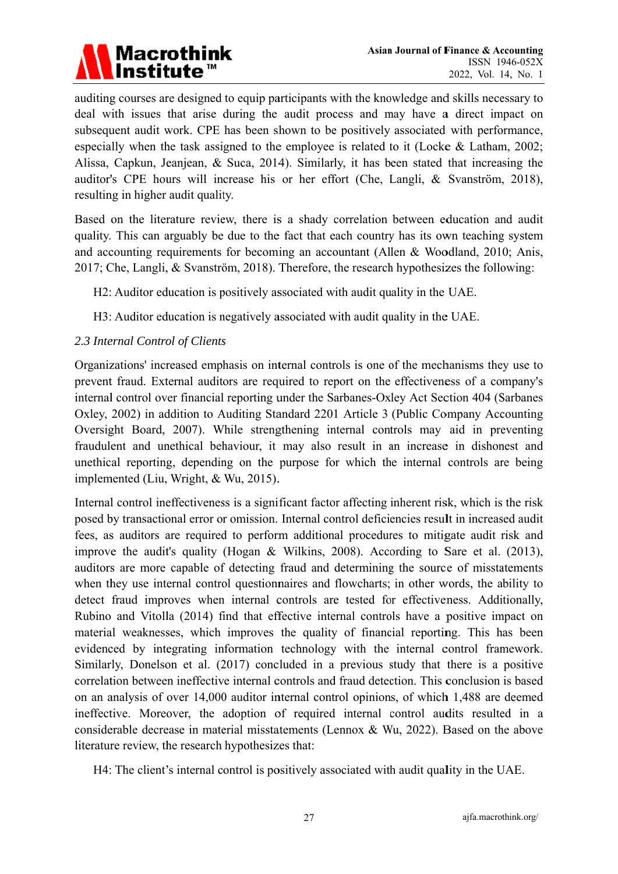

auditing courses are designed to equip participants with the knowledge and skills necessary to deal with issues that arise during the audit process and may have a direct impact on subsequent audit work. CPE has been shown to be positively associated with performance, especially when the task assigned to the employee is related to it (Locke  $& Latham, 2002$ ; Alissa, Capkun, Jeanjean, & Suca, 2014). Similarly, it has been stated that increasing the auditor's CPE hours will increase his or her effort (Che, Langli, & Svanström, 2018), resulting in higher audit quality.

Based on the literature review, there is a shady correlation between education and audit quality. This can arguably be due to the fact that each country has its own teaching system and accounting requirements for becoming an accountant (Allen & Woodland, 2010; Anis, 2017; Che, Langli, & Svanström, 2018). Therefore, the research hypothesizes the following:

H2: Auditor education is positively associated with audit quality in the UAE.

H3: Auditor education is negatively associated with audit quality in the UAE.

# 2.3 Internal Control of Clients

Organizations' increased emphasis on internal controls is one of the mechanisms they use to prevent fraud. External auditors are required to report on the effectiveness of a company's internal control over financial reporting under the Sarbanes-Oxley Act Section 404 (Sarbanes Oxley, 2002) in addition to Auditing Standard 2201 Article 3 (Public Company Accounting Oversight Board, 2007). While strengthening internal controls may aid in preventing fraudulent and unethical behaviour, it may also result in an increase in dishonest and unethical reporting, depending on the purpose for which the internal controls are being implemented (Liu, Wright, & Wu, 2015).

Internal control ineffectiveness is a significant factor affecting inherent risk, which is the risk posed by transactional error or omission. Internal control deficiencies result in increased audit fees, as auditors are required to perform additional procedures to mitigate audit risk and improve the audit's quality (Hogan & Wilkins, 2008). According to Sare et al. (2013), auditors are more capable of detecting fraud and determining the source of misstatements when they use internal control questionnaires and flowcharts; in other words, the ability to detect fraud improves when internal controls are tested for effectiveness. Additionally, Rubino and Vitolla (2014) find that effective internal controls have a positive impact on material weaknesses, which improves the quality of financial reporting. This has been evidenced by integrating information technology with the internal control framework. Similarly. Donelson et al. (2017) concluded in a previous study that there is a positive correlation between ineffective internal controls and fraud detection. This conclusion is based on an analysis of over 14,000 auditor internal control opinions, of which 1,488 are deemed ineffective. Moreover, the adoption of required internal control audits resulted in a considerable decrease in material misstatements (Lennox & Wu, 2022). Based on the above literature review, the research hypothesizes that:

H4: The client's internal control is positively associated with audit quality in the UAE.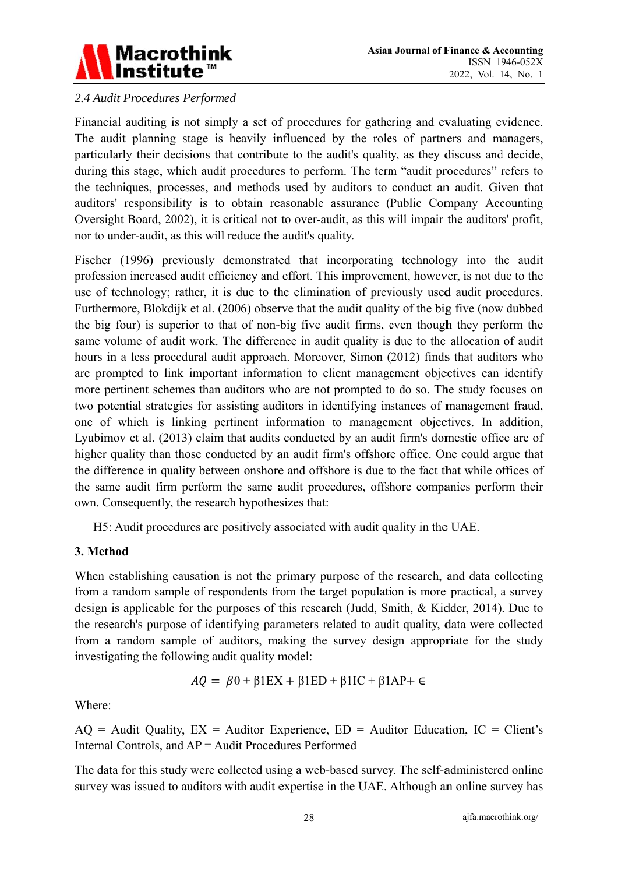

# 2.4 Audit Procedures Performed

Financial auditing is not simply a set of procedures for gathering and evaluating evidence. The audit planning stage is heavily influenced by the roles of partners and managers, particularly their decisions that contribute to the audit's quality, as they discuss and decide, during this stage, which audit procedures to perform. The term "audit procedures" refers to the techniques, processes, and methods used by auditors to conduct an audit. Given that auditors' responsibility is to obtain reasonable assurance (Public Company Accounting Oversight Board, 2002), it is critical not to over-audit, as this will impair the auditors' profit, nor to under-audit, as this will reduce the audit's quality.

Fischer (1996) previously demonstrated that incorporating technology into the audit profession increased audit efficiency and effort. This improvement, however, is not due to the use of technology; rather, it is due to the elimination of previously used audit procedures. Furthermore, Blokdijk et al. (2006) observe that the audit quality of the big five (now dubbed the big four) is superior to that of non-big five audit firms, even though they perform the same volume of audit work. The difference in audit quality is due to the allocation of audit hours in a less procedural audit approach. Moreover, Simon (2012) finds that auditors who are prompted to link important information to client management objectives can identify more pertinent schemes than auditors who are not prompted to do so. The study focuses on two potential strategies for assisting auditors in identifying instances of management fraud, one of which is linking pertinent information to management objectives. In addition, Lyubimov et al. (2013) claim that audits conducted by an audit firm's domestic office are of higher quality than those conducted by an audit firm's offshore office. One could argue that the difference in quality between onshore and offshore is due to the fact that while offices of the same audit firm perform the same audit procedures, offshore companies perform their own. Consequently, the research hypothesizes that:

H5: Audit procedures are positively associated with audit quality in the UAE.

#### 3. Method

When establishing causation is not the primary purpose of the research, and data collecting from a random sample of respondents from the target population is more practical, a survey design is applicable for the purposes of this research (Judd, Smith, & Kidder, 2014). Due to the research's purpose of identifying parameters related to audit quality, data were collected from a random sample of auditors, making the survey design appropriate for the study investigating the following audit quality model:

$$
AQ = \beta 0 + \beta 1EX + \beta 1ED + \beta 1IC + \beta 1AP + \epsilon
$$

Where:

 $AQ = \text{Audit Quality}, EX = \text{Auditor Experience}, ED = \text{Auditor Education}, IC = \text{Client's}$ Internal Controls, and AP = Audit Procedures Performed

The data for this study were collected using a web-based survey. The self-administered online survey was issued to auditors with audit expertise in the UAE. Although an online survey has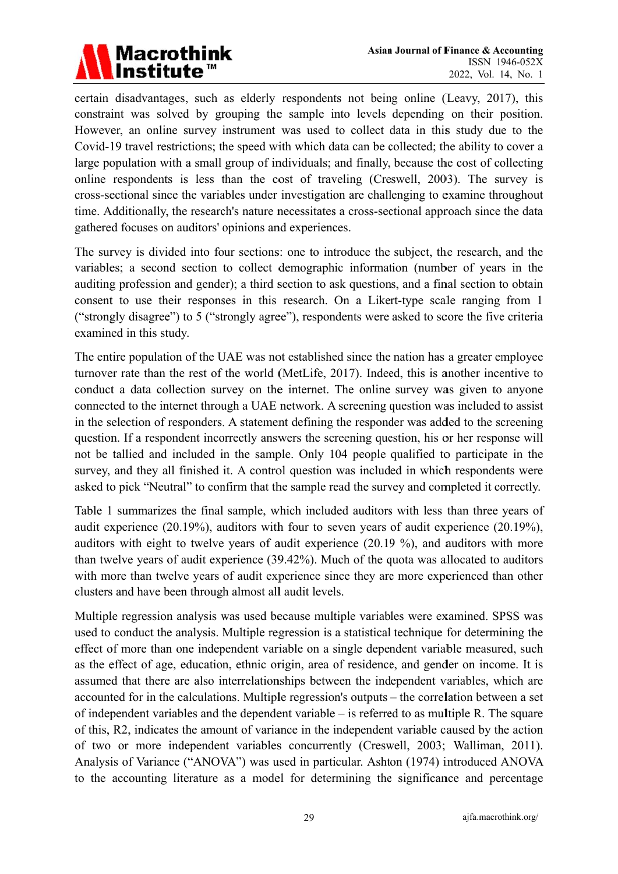

certain disadvantages, such as elderly respondents not being online (Leavy, 2017), this constraint was solved by grouping the sample into levels depending on their position. However, an online survey instrument was used to collect data in this study due to the Covid-19 travel restrictions; the speed with which data can be collected; the ability to cover a large population with a small group of individuals; and finally, because the cost of collecting online respondents is less than the cost of traveling (Creswell, 2003). The survey is cross-sectional since the variables under investigation are challenging to examine throughout time. Additionally, the research's nature necessitates a cross-sectional approach since the data gathered focuses on auditors' opinions and experiences.

The survey is divided into four sections: one to introduce the subject, the research, and the variables; a second section to collect demographic information (number of years in the auditing profession and gender); a third section to ask questions, and a final section to obtain consent to use their responses in this research. On a Likert-type scale ranging from 1 ("strongly disagree") to 5 ("strongly agree"), respondents were asked to score the five criteria examined in this study.

The entire population of the UAE was not established since the nation has a greater employee turnover rate than the rest of the world (MetLife, 2017). Indeed, this is another incentive to conduct a data collection survey on the internet. The online survey was given to anyone connected to the internet through a UAE network. A screening question was included to assist in the selection of responders. A statement defining the responder was added to the screening question. If a respondent incorrectly answers the screening question, his or her response will not be tallied and included in the sample. Only 104 people qualified to participate in the survey, and they all finished it. A control question was included in which respondents were asked to pick "Neutral" to confirm that the sample read the survey and completed it correctly.

Table 1 summarizes the final sample, which included auditors with less than three years of audit experience (20.19%), auditors with four to seven years of audit experience (20.19%), auditors with eight to twelve years of audit experience (20.19 %), and auditors with more than twelve years of audit experience (39.42%). Much of the quota was allocated to auditors with more than twelve years of audit experience since they are more experienced than other clusters and have been through almost all audit levels.

Multiple regression analysis was used because multiple variables were examined. SPSS was used to conduct the analysis. Multiple regression is a statistical technique for determining the effect of more than one independent variable on a single dependent variable measured, such as the effect of age, education, ethnic origin, area of residence, and gender on income. It is assumed that there are also interrelationships between the independent variables, which are accounted for in the calculations. Multiple regression's outputs – the correlation between a set of independent variables and the dependent variable  $-$  is referred to as multiple R. The square of this, R2, indicates the amount of variance in the independent variable caused by the action of two or more independent variables concurrently (Creswell, 2003; Walliman, 2011). Analysis of Variance ("ANOVA") was used in particular. Ashton (1974) introduced ANOVA to the accounting literature as a model for determining the significance and percentage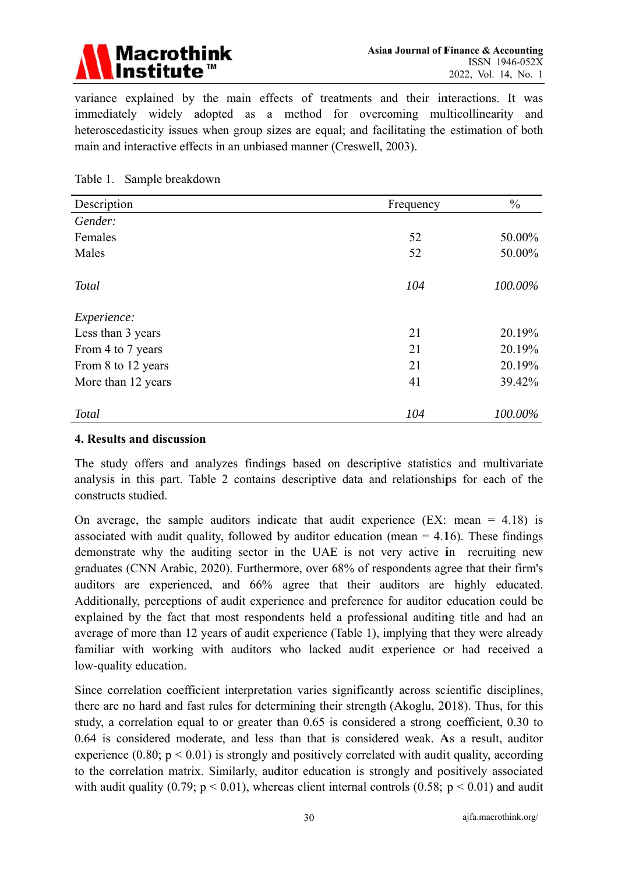

variance explained by the main effects of treatments and their interactions. It was immediately widely adopted as a method for overcoming multicollinearity and heteroscedasticity issues when group sizes are equal; and facilitating the estimation of both main and interactive effects in an unbiased manner (Creswell, 2003).

#### Table 1. Sample breakdown

| Description        | Frequency | $\frac{0}{0}$ |
|--------------------|-----------|---------------|
| Gender:            |           |               |
| Females            | 52        | 50.00%        |
| Males              | 52        | 50.00%        |
| <b>Total</b>       | 104       | 100.00%       |
| Experience:        |           |               |
| Less than 3 years  | 21        | 20.19%        |
| From 4 to 7 years  | 21        | 20.19%        |
| From 8 to 12 years | 21        | 20.19%        |
| More than 12 years | 41        | 39.42%        |
| <b>Total</b>       | 104       | 100.00%       |

#### 4. Results and discussion

The study offers and analyzes findings based on descriptive statistics and multivariate analysis in this part. Table 2 contains descriptive data and relationships for each of the constructs studied.

On average, the sample auditors indicate that audit experience  $(EX: mean = 4.18)$  is associated with audit quality, followed by auditor education (mean  $= 4.16$ ). These findings demonstrate why the auditing sector in the UAE is not very active in recruiting new graduates (CNN Arabic, 2020). Furthermore, over 68% of respondents agree that their firm's auditors are experienced, and 66% agree that their auditors are highly educated. Additionally, perceptions of audit experience and preference for auditor education could be explained by the fact that most respondents held a professional auditing title and had an average of more than 12 years of audit experience (Table 1), implying that they were already familiar with working with auditors who lacked audit experience or had received a low-quality education.

Since correlation coefficient interpretation varies significantly across scientific disciplines, there are no hard and fast rules for determining their strength (Akoglu, 2018). Thus, for this study, a correlation equal to or greater than 0.65 is considered a strong coefficient, 0.30 to 0.64 is considered moderate, and less than that is considered weak. As a result, auditor experience  $(0.80; p < 0.01)$  is strongly and positively correlated with audit quality, according to the correlation matrix. Similarly, auditor education is strongly and positively associated with audit quality (0.79;  $p < 0.01$ ), whereas client internal controls (0.58;  $p < 0.01$ ) and audit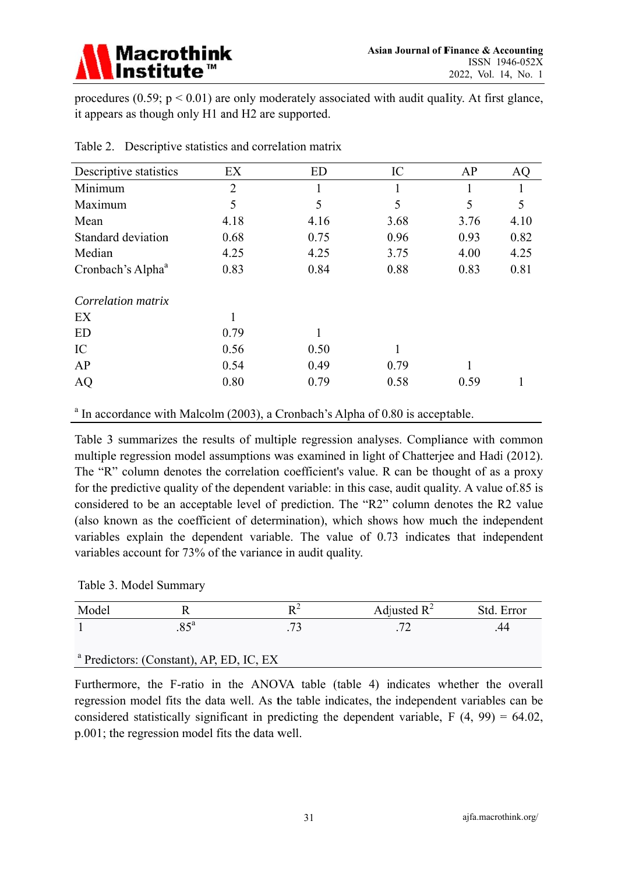

procedures (0.59;  $p < 0.01$ ) are only moderately associated with audit quality. At first glance, it appears as though only H1 and H2 are supported.

| Descriptive statistics        | EX             | <b>ED</b> | IC   | AP   | AQ   |
|-------------------------------|----------------|-----------|------|------|------|
| Minimum                       | $\overline{2}$ |           |      |      |      |
| Maximum                       | 5              | 5         | 5    | 5    | 5    |
| Mean                          | 4.18           | 4.16      | 3.68 | 3.76 | 4.10 |
| Standard deviation            | 0.68           | 0.75      | 0.96 | 0.93 | 0.82 |
| Median                        | 4.25           | 4.25      | 3.75 | 4.00 | 4.25 |
| Cronbach's Alpha <sup>a</sup> | 0.83           | 0.84      | 0.88 | 0.83 | 0.81 |
| Correlation matrix            |                |           |      |      |      |
| EX                            |                |           |      |      |      |
| <b>ED</b>                     | 0.79           |           |      |      |      |
| IC                            | 0.56           | 0.50      |      |      |      |
| AP                            | 0.54           | 0.49      | 0.79 |      |      |
| <b>AQ</b>                     | 0.80           | 0.79      | 0.58 | 0.59 |      |
|                               |                |           |      |      |      |

Table 2. Descriptive statistics and correlation matrix

 $^a$  In accordance with Malcolm (2003), a Cronbach's Alpha of 0.80 is acceptable.

Table 3 summarizes the results of multiple regression analyses. Compliance with common multiple regression model assumptions was examined in light of Chatterjee and Hadi (2012). The "R" column denotes the correlation coefficient's value. R can be thought of as a proxy for the predictive quality of the dependent variable: in this case, audit quality. A value of 85 is considered to be an acceptable level of prediction. The "R2" column denotes the R2 value (also known as the coefficient of determination), which shows how much the independent variables explain the dependent variable. The value of 0.73 indicates that independent variables account for 73% of the variance in audit quality.

|  |  | Table 3. Model Summary |
|--|--|------------------------|
|--|--|------------------------|

| Model                                               |  |  | Adjusted $R^2$ | Std. Error |  |  |  |  |
|-----------------------------------------------------|--|--|----------------|------------|--|--|--|--|
| $85^a$                                              |  |  |                |            |  |  |  |  |
|                                                     |  |  |                |            |  |  |  |  |
| <sup>a</sup> Predictors: (Constant), AP, ED, IC, EX |  |  |                |            |  |  |  |  |

Furthermore, the F-ratio in the ANOVA table (table 4) indicates whether the overall regression model fits the data well. As the table indicates, the independent variables can be considered statistically significant in predicting the dependent variable,  $F(4, 99) = 64.02$ , p.001; the regression model fits the data well.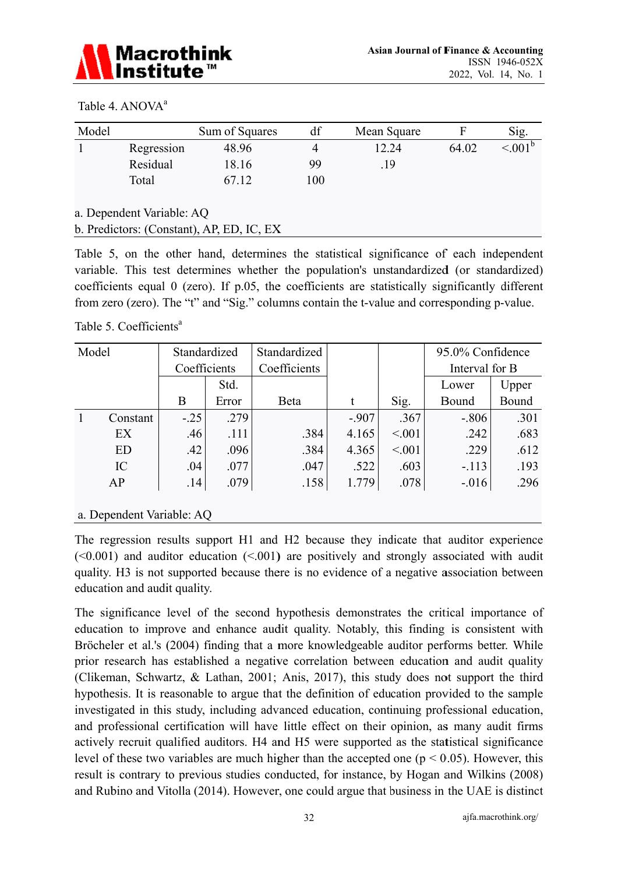

#### Table 4. ANOVA<sup>a</sup>

| Model                     |            | Sum of Squares                            | df  | Mean Square | F     | Sig.                |  |  |
|---------------------------|------------|-------------------------------------------|-----|-------------|-------|---------------------|--|--|
|                           | Regression | 48.96                                     | 4   | 12.24       | 64.02 | $\leq 0.01^{\rm b}$ |  |  |
|                           | Residual   | 18.16                                     | 99  | .19         |       |                     |  |  |
|                           | Total      | 67.12                                     | 100 |             |       |                     |  |  |
| a. Dependent Variable: AQ |            |                                           |     |             |       |                     |  |  |
|                           |            | b. Predictors: (Constant), AP, ED, IC, EX |     |             |       |                     |  |  |

Table 5, on the other hand, determines the statistical significance of each independent variable. This test determines whether the population's unstandardized (or standardized) coefficients equal 0 (zero). If p.05, the coefficients are statistically significantly different from zero (zero). The "t" and "Sig." columns contain the t-value and corresponding p-value.

Table 5. Coefficients<sup>a</sup>

| Model |           | Standardized |       | Standardized |         |         | 95.0% Confidence |       |
|-------|-----------|--------------|-------|--------------|---------|---------|------------------|-------|
|       |           | Coefficients |       | Coefficients |         |         | Interval for B   |       |
|       |           |              | Std.  |              |         |         | Lower            | Upper |
|       |           | B            | Error | Beta         | t       | Sig.    | Bound            | Bound |
|       | Constant  | $-.25$       | .279  |              | $-.907$ | .367    | $-.806$          | .301  |
|       | EX        | .46          | .111  | .384         | 4.165   | < 0.001 | .242             | .683  |
|       | <b>ED</b> | .42          | .096  | .384         | 4.365   | < 0.001 | .229             | .612  |
|       | IC        | .04          | .077  | .047         | .522    | .603    | $-.113$          | .193  |
|       | AP        | .14          | .079  | .158         | 1.779   | .078    | $-.016$          | .296  |
|       |           |              |       |              |         |         |                  |       |

#### a. Dependent Variable: AQ

The regression results support H1 and H2 because they indicate that auditor experience  $(\leq 0.001)$  and auditor education  $(\leq 0.01)$  are positively and strongly associated with audit quality. H3 is not supported because there is no evidence of a negative association between education and audit quality.

The significance level of the second hypothesis demonstrates the critical importance of education to improve and enhance audit quality. Notably, this finding is consistent with Bröcheler et al.'s (2004) finding that a more knowledgeable auditor performs better. While prior research has established a negative correlation between education and audit quality (Clikeman, Schwartz, & Lathan, 2001; Anis, 2017), this study does not support the third hypothesis. It is reasonable to argue that the definition of education provided to the sample investigated in this study, including advanced education, continuing professional education, and professional certification will have little effect on their opinion, as many audit firms actively recruit qualified auditors. H4 and H5 were supported as the statistical significance level of these two variables are much higher than the accepted one ( $p < 0.05$ ). However, this result is contrary to previous studies conducted, for instance, by Hogan and Wilkins (2008) and Rubino and Vitolla (2014). However, one could argue that business in the UAE is distinct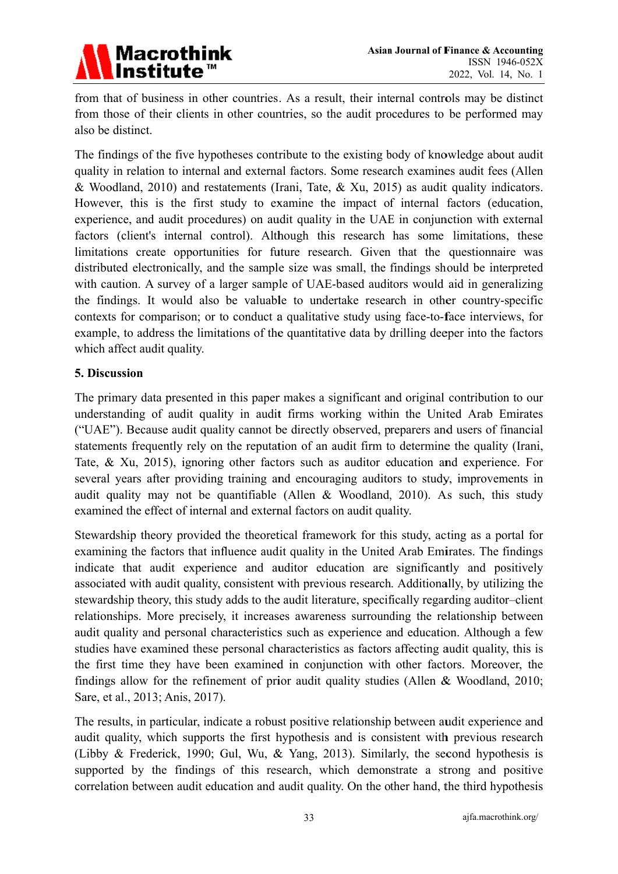

from that of business in other countries. As a result, their internal controls may be distinct from those of their clients in other countries, so the audit procedures to be performed may also be distinct.

The findings of the five hypotheses contribute to the existing body of knowledge about audit quality in relation to internal and external factors. Some research examines audit fees (Allen & Woodland, 2010) and restatements (Irani, Tate, & Xu, 2015) as audit quality indicators. However, this is the first study to examine the impact of internal factors (education, experience, and audit procedures) on audit quality in the UAE in conjunction with external factors (client's internal control). Although this research has some limitations, these limitations create opportunities for future research. Given that the questionnaire was distributed electronically, and the sample size was small, the findings should be interpreted with caution. A survey of a larger sample of UAE-based auditors would aid in generalizing the findings. It would also be valuable to undertake research in other country-specific contexts for comparison; or to conduct a qualitative study using face-to-face interviews, for example, to address the limitations of the quantitative data by drilling deeper into the factors which affect audit quality.

# 5. Discussion

The primary data presented in this paper makes a significant and original contribution to our understanding of audit quality in audit firms working within the United Arab Emirates ("UAE"). Because audit quality cannot be directly observed, preparers and users of financial statements frequently rely on the reputation of an audit firm to determine the quality (Irani, Tate, & Xu, 2015), ignoring other factors such as auditor education and experience. For several years after providing training and encouraging auditors to study, improvements in audit quality may not be quantifiable (Allen & Woodland, 2010). As such, this study examined the effect of internal and external factors on audit quality.

Stewardship theory provided the theoretical framework for this study, acting as a portal for examining the factors that influence audit quality in the United Arab Emirates. The findings indicate that audit experience and auditor education are significantly and positively associated with audit quality, consistent with previous research. Additionally, by utilizing the stewardship theory, this study adds to the audit literature, specifically regarding auditor-client relationships. More precisely, it increases awareness surrounding the relationship between audit quality and personal characteristics such as experience and education. Although a few studies have examined these personal characteristics as factors affecting audit quality, this is the first time they have been examined in conjunction with other factors. Moreover, the findings allow for the refinement of prior audit quality studies (Allen & Woodland, 2010; Sare, et al., 2013; Anis, 2017).

The results, in particular, indicate a robust positive relationship between audit experience and audit quality, which supports the first hypothesis and is consistent with previous research (Libby & Frederick, 1990; Gul, Wu, & Yang, 2013). Similarly, the second hypothesis is supported by the findings of this research, which demonstrate a strong and positive correlation between audit education and audit quality. On the other hand, the third hypothesis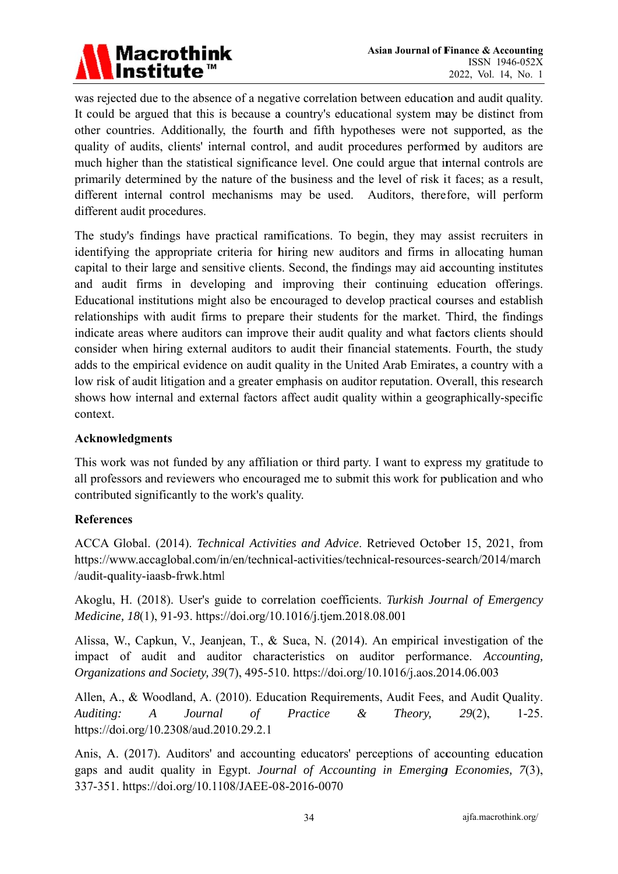

was rejected due to the absence of a negative correlation between education and audit quality. It could be argued that this is because a country's educational system may be distinct from other countries. Additionally, the fourth and fifth hypotheses were not supported, as the quality of audits, clients' internal control, and audit procedures performed by auditors are much higher than the statistical significance level. One could argue that internal controls are primarily determined by the nature of the business and the level of risk it faces; as a result, different internal control mechanisms may be used. Auditors, therefore, will perform different audit procedures.

The study's findings have practical ramifications. To begin, they may assist recruiters in identifying the appropriate criteria for hiring new auditors and firms in allocating human capital to their large and sensitive clients. Second, the findings may aid accounting institutes and audit firms in developing and improving their continuing education offerings. Educational institutions might also be encouraged to develop practical courses and establish relationships with audit firms to prepare their students for the market. Third, the findings indicate areas where auditors can improve their audit quality and what factors clients should consider when hiring external auditors to audit their financial statements. Fourth, the study adds to the empirical evidence on audit quality in the United Arab Emirates, a country with a low risk of audit litigation and a greater emphasis on auditor reputation. Overall, this research shows how internal and external factors affect audit quality within a geographically-specific context.

# **Acknowledgments**

This work was not funded by any affiliation or third party. I want to express my gratitude to all professors and reviewers who encouraged me to submit this work for publication and who contributed significantly to the work's quality.

# **References**

ACCA Global. (2014). Technical Activities and Advice. Retrieved October 15, 2021, from https://www.accaglobal.com/in/en/technical-activities/technical-resources-search/2014/march /audit-quality-iaasb-frwk.html

Akoglu, H. (2018). User's guide to correlation coefficients. Turkish Journal of Emergency *Medicine, 18*(1), 91-93. https://doi.org/10.1016/j.tjem.2018.08.001

Alissa, W., Capkun, V., Jeanjean, T., & Suca, N. (2014). An empirical investigation of the impact of audit and auditor characteristics on auditor performance. Accounting, Organizations and Society, 39(7), 495-510. https://doi.org/10.1016/j.aos.2014.06.003

Allen, A., & Woodland, A. (2010). Education Requirements, Audit Fees, and Audit Quality. Auditing: Journal Practice  $\mathcal{L}$ Theory,  $29(2)$ ,  $1-25.$  $\boldsymbol{A}$  $\sigma f$ https://doi.org/10.2308/aud.2010.29.2.1

Anis, A. (2017). Auditors' and accounting educators' perceptions of accounting education gaps and audit quality in Egypt. Journal of Accounting in Emerging Economies, 7(3), 337-351. https://doi.org/10.1108/JAEE-08-2016-0070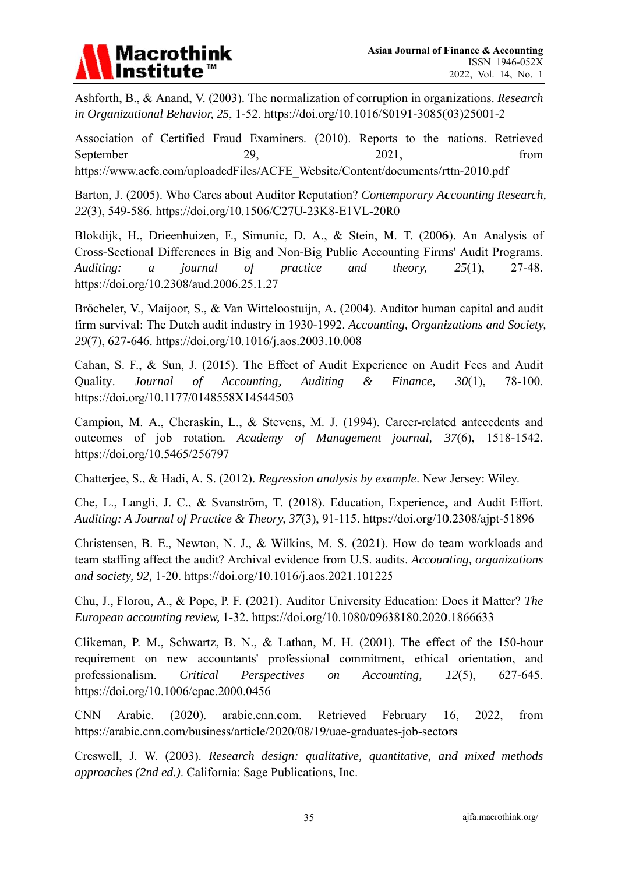# **Macrothink**

Ashforth, B., & Anand, V. (2003). The normalization of corruption in organizations. Research in Organizational Behavior, 25, 1-52. https://doi.org/10.1016/S0191-3085(03)25001-2

Association of Certified Fraud Examiners. (2010). Reports to the nations. Retrieved September 29. 2021. from https://www.acfe.com/uploadedFiles/ACFE Website/Content/documents/rttn-2010.pdf

Barton, J. (2005). Who Cares about Auditor Reputation? Contemporary Accounting Research, 22(3), 549-586. https://doi.org/10.1506/C27U-23K8-E1VL-20R0

Blokdijk, H., Drieenhuizen, F., Simunic, D. A., & Stein, M. T. (2006). An Analysis of Cross-Sectional Differences in Big and Non-Big Public Accounting Firms' Audit Programs. practice Auditing:  $\overline{a}$ iournal  $of$ and theory.  $25(1)$ ,  $27 - 48.$ https://doi.org/10.2308/aud.2006.25.1.27

Bröcheler, V., Maijoor, S., & Van Witteloostuijn, A. (2004). Auditor human capital and audit firm survival: The Dutch audit industry in 1930-1992. Accounting, Organizations and Society. 29(7), 627-646. https://doi.org/10.1016/j.aos.2003.10.008

Cahan, S. F., & Sun, J. (2015). The Effect of Audit Experience on Audit Fees and Audit Journal **Auditing** Quality.  $\sigma f$ Accounting.  $\mathcal{X}$ Finance.  $30(1)$ .  $78-100.$ https://doi.org/10.1177/0148558X14544503

Campion, M. A., Cheraskin, L., & Stevens, M. J. (1994). Career-related antecedents and outcomes of job rotation. Academy of Management journal, 37(6), 1518-1542. https://doi.org/10.5465/256797

Chatterjee, S., & Hadi, A. S. (2012). Regression analysis by example. New Jersey: Wiley.

Che, L., Langli, J. C., & Svanström, T. (2018). Education, Experience, and Audit Effort. Auditing: A Journal of Practice & Theory, 37(3), 91-115. https://doi.org/10.2308/ajpt-51896

Christensen, B. E., Newton, N. J., & Wilkins, M. S. (2021). How do team workloads and team staffing affect the audit? Archival evidence from U.S. audits. Accounting, organizations and society, 92, 1-20. https://doi.org/10.1016/j.aos.2021.101225

Chu, J., Florou, A., & Pope, P. F. (2021). Auditor University Education: Does it Matter? The European accounting review, 1-32. https://doi.org/10.1080/09638180.2020.1866633

Clikeman, P. M., Schwartz, B. N., & Lathan, M. H. (2001). The effect of the 150-hour requirement on new accountants' professional commitment, ethical orientation, and professionalism. Critical Perspectives  $\overline{on}$ Accounting, 627-645.  $12(5)$ , https://doi.org/10.1006/cpac.2000.0456

**CNN** Arabic.  $(2020).$ arabic.cnn.com. Retrieved February  $16.$ 2022. from https://arabic.cnn.com/business/article/2020/08/19/uae-graduates-job-sectors

Creswell, J. W. (2003). Research design: qualitative, quantitative, and mixed methods *approaches (2nd ed.).* California: Sage Publications, Inc.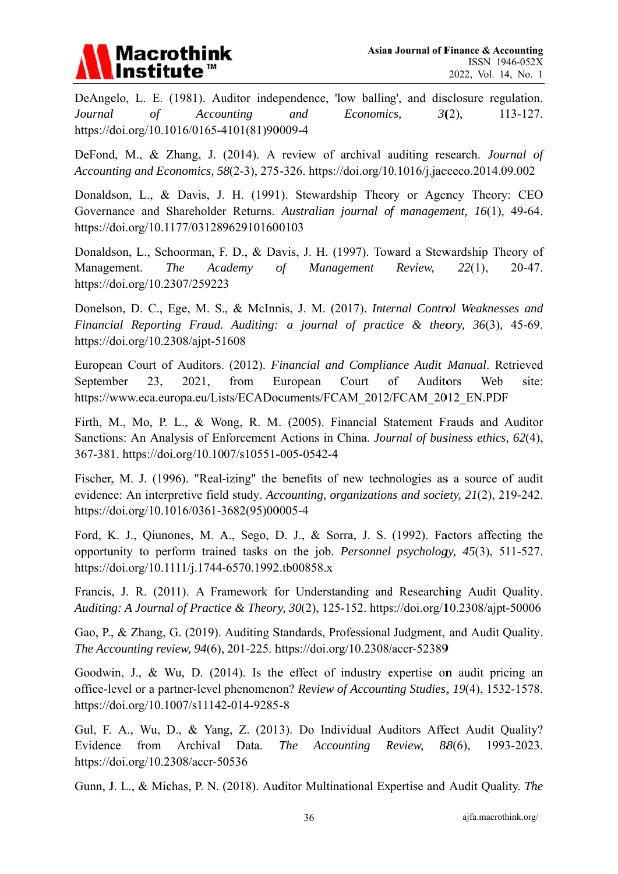

DeAngelo, L. E. (1981). Auditor independence, 'low balling', and disclosure regulation. Journal  $\sigma f$ **Accounting** and Economics.  $3(2)$ , 113-127. https://doi.org/10.1016/0165-4101(81)90009-4

DeFond, M., & Zhang, J. (2014). A review of archival auditing research. Journal of Accounting and Economics, 58(2-3), 275-326. https://doi.org/10.1016/j.jacceco.2014.09.002

Donaldson, L., & Davis, J. H. (1991). Stewardship Theory or Agency Theory: CEO Governance and Shareholder Returns. Australian journal of management, 16(1), 49-64. https://doi.org/10.1177/031289629101600103

Donaldson, L., Schoorman, F. D., & Davis, J. H. (1997). Toward a Stewardship Theory of Academy Management Management. **The**  $\sigma f$ Review.  $22(1)$ ,  $20 - 47$ . https://doi.org/10.2307/259223

Donelson, D. C., Ege, M. S., & McInnis, J. M. (2017). Internal Control Weaknesses and Financial Reporting Fraud. Auditing: a journal of practice  $\&$  theory, 36(3), 45-69. https://doi.org/10.2308/ajpt-51608

European Court of Auditors. (2012). Financial and Compliance Audit Manual. Retrieved 23. from European Court  $\delta$ **Auditors** Weh September 2021. site: https://www.eca.europa.eu/Lists/ECADocuments/FCAM 2012/FCAM 2012 EN.PDF

Firth, M., Mo, P. L., & Wong, R. M. (2005). Financial Statement Frauds and Auditor Sanctions: An Analysis of Enforcement Actions in China. Journal of business ethics, 62(4), 367-381. https://doi.org/10.1007/s10551-005-0542-4

Fischer, M. J. (1996). "Real-izing" the benefits of new technologies as a source of audit evidence: An interpretive field study. Accounting, organizations and society, 21(2), 219-242. https://doi.org/10.1016/0361-3682(95)00005-4

Ford, K. J., Oiunones, M. A., Sego, D. J., & Sorra, J. S. (1992). Factors affecting the opportunity to perform trained tasks on the job. *Personnel psychology*, 45(3), 511-527. https://doi.org/10.1111/j.1744-6570.1992.tb00858.x

Francis, J. R. (2011). A Framework for Understanding and Researching Audit Quality. Auditing: A Journal of Practice & Theory, 30(2), 125-152. https://doi.org/10.2308/ajpt-50006

Gao, P., & Zhang, G. (2019). Auditing Standards, Professional Judgment, and Audit Quality. The Accounting review, 94(6), 201-225. https://doi.org/10.2308/accr-52389

Goodwin, J., & Wu, D. (2014). Is the effect of industry expertise on audit pricing an office-level or a partner-level phenomenon? Review of Accounting Studies, 19(4), 1532-1578. https://doi.org/10.1007/s11142-014-9285-8

Gul, F. A., Wu, D., & Yang, Z. (2013). Do Individual Auditors Affect Audit Quality? Archival Evidence from Data. **The** Accounting Review.  $88(6)$ . 1993-2023. https://doi.org/10.2308/accr-50536

Gunn, J. L., & Michas, P. N. (2018). Auditor Multinational Expertise and Audit Quality. The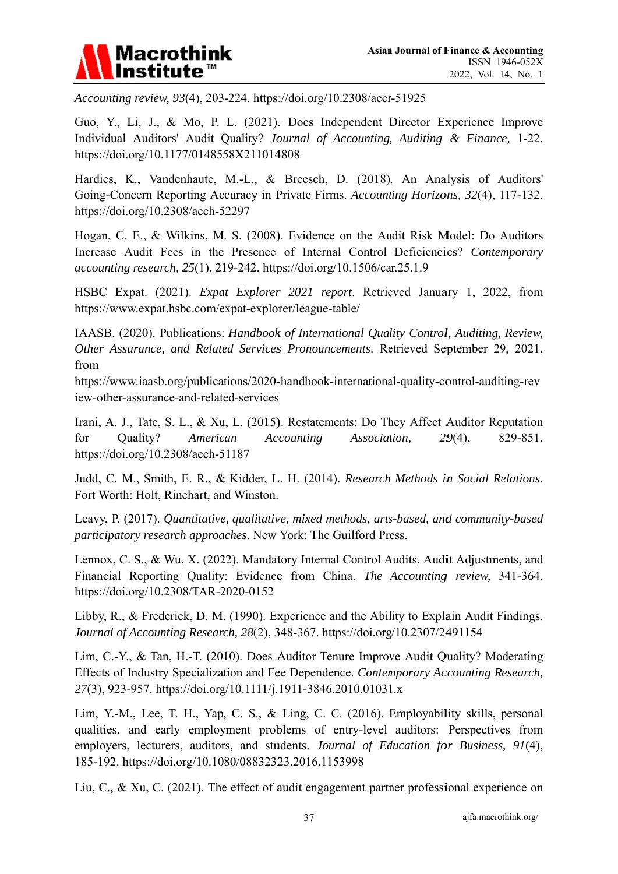

Accounting review, 93(4), 203-224. https://doi.org/10.2308/accr-51925

Guo, Y., Li, J., & Mo, P. L. (2021). Does Independent Director Experience Improve Individual Auditors' Audit Quality? Journal of Accounting, Auditing & Finance, 1-22. https://doi.org/10.1177/0148558X211014808

Hardies, K., Vandenhaute, M.-L., & Breesch, D. (2018). An Analysis of Auditors' Going-Concern Reporting Accuracy in Private Firms. Accounting Horizons, 32(4), 117-132. https://doi.org/10.2308/acch-52297

Hogan, C. E., & Wilkins, M. S. (2008). Evidence on the Audit Risk Model: Do Auditors Increase Audit Fees in the Presence of Internal Control Deficiencies? Contemporary accounting research, 25(1), 219-242. https://doi.org/10.1506/car.25.1.9

HSBC Expat. (2021). Expat Explorer 2021 report. Retrieved January 1, 2022, from https://www.expat.hsbc.com/expat-explorer/league-table/

IAASB. (2020). Publications: Handbook of International Quality Control, Auditing, Review, Other Assurance, and Related Services Pronouncements. Retrieved September 29, 2021, from

https://www.jaasb.org/publications/2020-handbook-international-quality-control-auditing-rev iew-other-assurance-and-related-services

Irani, A. J., Tate, S. L., & Xu, L. (2015). Restatements: Do They Affect Auditor Reputation for Ouality? American Accounting Association.  $29(4)$ , 829-851. https://doi.org/10.2308/acch-51187

Judd, C. M., Smith, E. R., & Kidder, L. H. (2014). Research Methods in Social Relations. Fort Worth: Holt, Rinehart, and Winston.

Leavy, P. (2017). Quantitative, qualitative, mixed methods, arts-based, and community-based participatory research approaches. New York: The Guilford Press.

Lennox, C. S., & Wu, X. (2022). Mandatory Internal Control Audits, Audit Adjustments, and Financial Reporting Quality: Evidence from China. The Accounting review, 341-364. https://doi.org/10.2308/TAR-2020-0152

Libby, R., & Frederick, D. M. (1990). Experience and the Ability to Explain Audit Findings. Journal of Accounting Research, 28(2), 348-367. https://doi.org/10.2307/2491154

Lim, C.-Y., & Tan, H.-T. (2010). Does Auditor Tenure Improve Audit Quality? Moderating Effects of Industry Specialization and Fee Dependence. Contemporary Accounting Research, 27(3), 923-957. https://doi.org/10.1111/j.1911-3846.2010.01031.x

Lim, Y.-M., Lee, T. H., Yap, C. S., & Ling, C. C. (2016). Employability skills, personal qualities, and early employment problems of entry-level auditors: Perspectives from employers, lecturers, auditors, and students. Journal of Education for Business, 91(4), 185-192. https://doi.org/10.1080/08832323.2016.1153998

Liu, C., & Xu, C. (2021). The effect of audit engagement partner professional experience on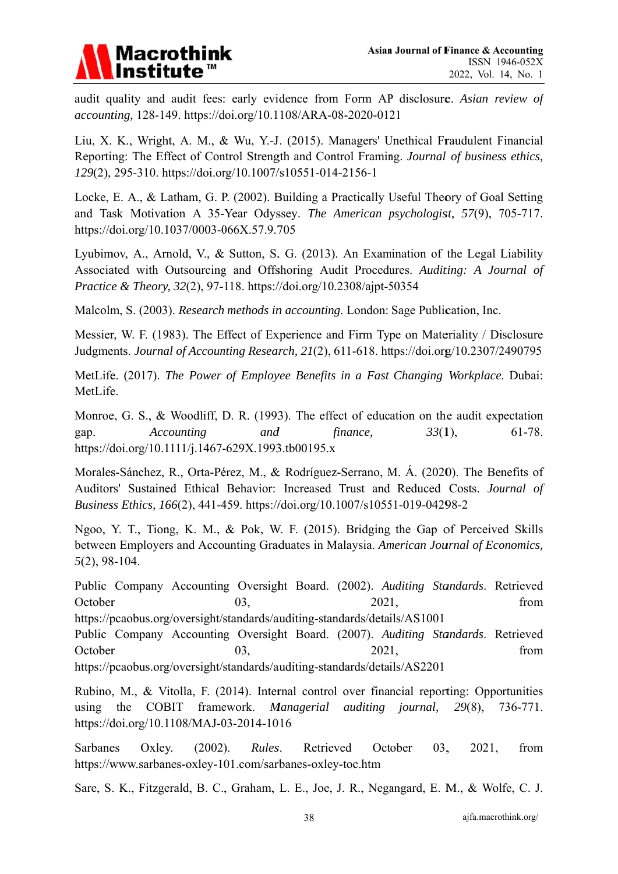

audit quality and audit fees: early evidence from Form AP disclosure. Asian review of accounting, 128-149. https://doi.org/10.1108/ARA-08-2020-0121

Liu, X. K., Wright, A. M., & Wu, Y.-J. (2015). Managers' Unethical Fraudulent Financial Reporting: The Effect of Control Strength and Control Framing. Journal of business ethics, 129(2), 295-310. https://doi.org/10.1007/s10551-014-2156-1

Locke, E. A., & Latham, G. P. (2002). Building a Practically Useful Theory of Goal Setting and Task Motivation A 35-Year Odyssey. The American psychologist, 57(9), 705-717. https://doi.org/10.1037/0003-066X.57.9.705

Lyubimov, A., Arnold, V., & Sutton, S. G. (2013). An Examination of the Legal Liability Associated with Outsourcing and Offshoring Audit Procedures, Auditing: A Journal of Practice & Theory, 32(2), 97-118. https://doi.org/10.2308/ajpt-50354

Malcolm, S. (2003). Research methods in accounting. London: Sage Publication, Inc.

Messier, W. F. (1983). The Effect of Experience and Firm Type on Materiality / Disclosure Judgments. Journal of Accounting Research, 21(2), 611-618. https://doi.org/10.2307/2490795

MetLife. (2017). The Power of Employee Benefits in a Fast Changing Workplace. Dubai: MetLife.

Monroe, G. S., & Woodliff, D. R. (1993). The effect of education on the audit expectation Accounting and finance.  $33(1)$ ,  $61-78.$ gap. https://doi.org/10.1111/j.1467-629X.1993.tb00195.x

Morales-Sánchez, R., Orta-Pérez, M., & Rodríguez-Serrano, M. Á. (2020). The Benefits of Auditors' Sustained Ethical Behavior: Increased Trust and Reduced Costs. Journal of Business Ethics, 166(2), 441-459. https://doi.org/10.1007/s10551-019-04298-2

Ngoo, Y. T., Tiong, K. M., & Pok, W. F. (2015). Bridging the Gap of Perceived Skills between Employers and Accounting Graduates in Malaysia. American Journal of Economics,  $5(2)$ , 98-104.

Public Company Accounting Oversight Board. (2002). Auditing Standards. Retrieved October 2021. 03. from

https://pcaobus.org/oversight/standards/auditing-standards/details/AS1001

Public Company Accounting Oversight Board. (2007). Auditing Standards. Retrieved October 03, 2021, from

https://pcaobus.org/oversight/standards/auditing-standards/details/AS2201

Rubino, M., & Vitolla, F. (2014). Internal control over financial reporting: Opportunities using the COBIT framework. Managerial auditing journal,  $29(8)$ , 736-771. https://doi.org/10.1108/MAJ-03-2014-1016

**Sarbanes** Oxley.  $(2002).$ Rules. Retrieved October 03. 2021, from https://www.sarbanes-oxley-101.com/sarbanes-oxley-toc.htm

Sare, S. K., Fitzgerald, B. C., Graham, L. E., Joe, J. R., Negangard, E. M., & Wolfe, C. J.